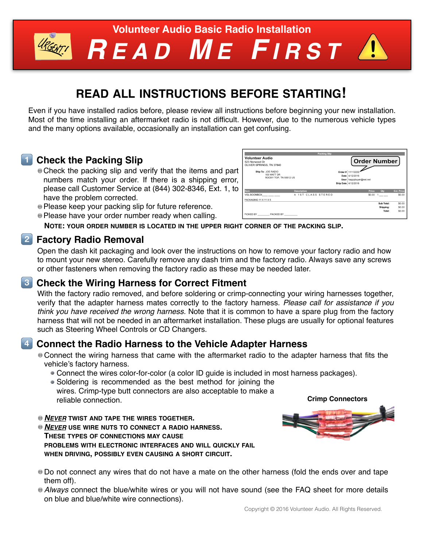

# *R EAD M E F IRST*

### **READ ALL INSTRUCTIONS BEFORE STARTING!**

Even if you have installed radios before, please review all instructions before beginning your new installation. Most of the time installing an aftermarket radio is not difficult. However, due to the numerous vehicle types and the many options available, occasionally an installation can get confusing.

### **1 Check the Packing Slip**

- Check the packing slip and verify that the items and part numbers match your order. If there is a shipping error, please call Customer Service at (844) 302-8346, Ext. 1, to have the problem corrected.
- Please keep your packing slip for future reference.
- Please have your order number ready when calling.



**NOTE: YOUR ORDER NUMBER IS LOCATED IN THE UPPER RIGHT CORNER OF THE PACKING SLIP.**

### **2 Factory Radio Removal**

Open the dash kit packaging and look over the instructions on how to remove your factory radio and how to mount your new stereo. Carefully remove any dash trim and the factory radio. Always save any screws or other fasteners when removing the factory radio as these may be needed later.

### **13 Check the Wiring Harness for Correct Fitment**

With the factory radio removed, and before soldering or crimp-connecting your wiring harnesses together, verify that the adapter harness mates correctly to the factory harness. *Please call for assistance if you think you have received the wrong harness.* Note that it is common to have a spare plug from the factory harness that will not be needed in an aftermarket installation. These plugs are usually for optional features such as Steering Wheel Controls or CD Changers.

### **4 Connect the Radio Harness to the Vehicle Adapter Harness**

- Connect the wiring harness that came with the aftermarket radio to the adapter harness that fits the vehicle's factory harness.
	- Connect the wires color-for-color (a color ID guide is included in most harness packages).
	- Soldering is recommended as the best method for joining the wires. Crimp-type butt connectors are also acceptable to make a reliable connection.
- *NEVER* **TWIST AND TAPE THE WIRES TOGETHER.**
- *NEVER* **USE WIRE NUTS TO CONNECT A RADIO HARNESS. THESE TYPES OF CONNECTIONS MAY CAUSE PROBLEMS WITH ELECTRONIC INTERFACES AND WILL QUICKLY FAIL WHEN DRIVING, POSSIBLY EVEN CAUSING A SHORT CIRCUIT.**
- **Crimp Connectors**
- Do not connect any wires that do not have a mate on the other harness (fold the ends over and tape them off).
- *Always* connect the blue/white wires or you will not have sound (see the FAQ sheet for more details on blue and blue/white wire connections).